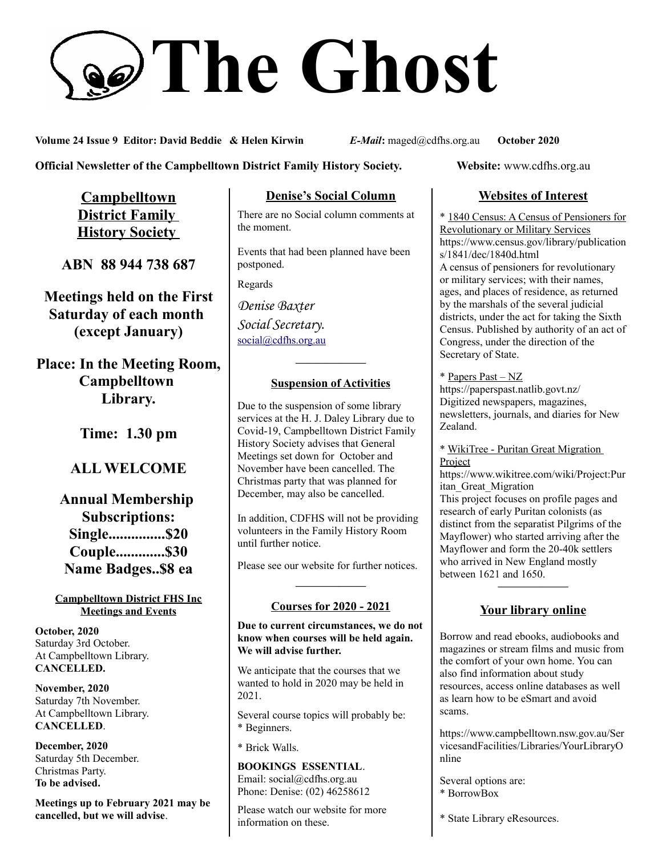# **The Ghost**

**Volume 24 Issue 9 Editor: David Beddie & Helen Kirwin** *E-Mail***:** maged@cdfhs.org.au **October 2020**

**Official Newsletter of the Campbelltown District Family History Society. Website: www.cdfhs.org.au** 

**Campbelltown District Family History Society** 

**ABN 88 944 738 687**

**Meetings held on the First Saturday of each month (except January)**

**Place: In the Meeting Room, Campbelltown Library.**

**Time: 1.30 pm**

# **ALL WELCOME**

**Annual Membership Subscriptions: Single...............\$20 Couple.............\$30 Name Badges..\$8 ea**

#### **Campbelltown District FHS Inc Meetings and Events**

**October, 2020** Saturday 3rd October. At Campbelltown Library. **CANCELLED.**

**November, 2020** Saturday 7th November. At Campbelltown Library. **CANCELLED**.

**December, 2020** Saturday 5th December. Christmas Party. **To be advised.**

**Meetings up to February 2021 may be cancelled, but we will advise**.

# **Denise's Social Column**

There are no Social column comments at the moment.

Events that had been planned have been postponed.

Regards

*Denise Baxter Social Secretary.* [social@cdfhs.org.au](mailto:social@cdfhs.org.au)

# **——————– Suspension of Activities**

Due to the suspension of some library services at the H. J. Daley Library due to Covid-19, Campbelltown District Family History Society advises that General Meetings set down for October and November have been cancelled. The Christmas party that was planned for December, may also be cancelled.

In addition, CDFHS will not be providing volunteers in the Family History Room until further notice.

Please see our website for further notices.

# **——————– Courses for 2020 - 2021**

**Due to current circumstances, we do not know when courses will be held again. We will advise further.**

We anticipate that the courses that we wanted to hold in 2020 may be held in 2021.

Several course topics will probably be: \* Beginners.

\* Brick Walls.

**BOOKINGS ESSENTIAL**. Email: social@cdfhs.org.au Phone: Denise: (02) 46258612

Please watch our website for more information on these.

# **Websites of Interest**

\* 1840 Census: A Census of Pensioners for Revolutionary or Military Services https://www.census.gov/library/publication s/1841/dec/1840d.html A census of pensioners for revolutionary or military services; with their names, ages, and places of residence, as returned by the marshals of the several judicial districts, under the act for taking the Sixth Census. Published by authority of an act of Congress, under the direction of the Secretary of State.

# \* Papers Past – NZ

https://paperspast.natlib.govt.nz/ Digitized newspapers, magazines, newsletters, journals, and diaries for New Zealand.

\* WikiTree - Puritan Great Migration Project

https://www.wikitree.com/wiki/Project:Pur itan\_Great\_Migration This project focuses on profile pages and research of early Puritan colonists (as distinct from the separatist Pilgrims of the Mayflower) who started arriving after the Mayflower and form the 20-40k settlers who arrived in New England mostly between 1621 and 1650.

# **Your library online**

**——————–**

Borrow and read ebooks, audiobooks and magazines or stream films and music from the comfort of your own home. You can also find information about study resources, access online databases as well as learn how to be eSmart and avoid scams.

https://www.campbelltown.nsw.gov.au/Ser vicesandFacilities/Libraries/YourLibraryO nline

Several options are: \* BorrowBox

\* State Library eResources.